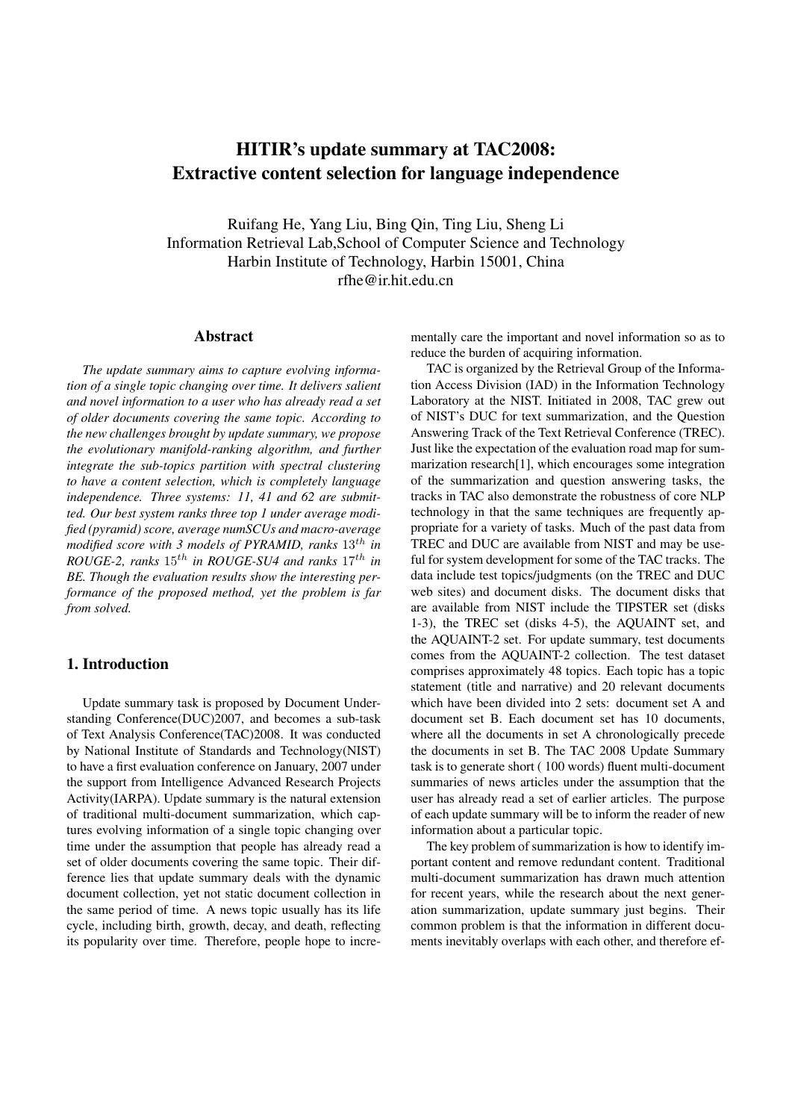# HITIR's update summary at TAC2008: Extractive content selection for language independence

Ruifang He, Yang Liu, Bing Qin, Ting Liu, Sheng Li Information Retrieval Lab,School of Computer Science and Technology Harbin Institute of Technology, Harbin 15001, China rfhe@ir.hit.edu.cn

#### Abstract

*The update summary aims to capture evolving information of a single topic changing over time. It delivers salient and novel information to a user who has already read a set of older documents covering the same topic. According to the new challenges brought by update summary, we propose the evolutionary manifold-ranking algorithm, and further integrate the sub-topics partition with spectral clustering to have a content selection, which is completely language independence. Three systems: 11, 41 and 62 are submitted. Our best system ranks three top 1 under average modified (pyramid) score, average numSCUs and macro-average modified score with 3 models of PYRAMID, ranks* 13th *in ROUGE-2, ranks* 15th *in ROUGE-SU4 and ranks* 17th *in BE. Though the evaluation results show the interesting performance of the proposed method, yet the problem is far from solved.*

# 1. Introduction

Update summary task is proposed by Document Understanding Conference(DUC)2007, and becomes a sub-task of Text Analysis Conference(TAC)2008. It was conducted by National Institute of Standards and Technology(NIST) to have a first evaluation conference on January, 2007 under the support from Intelligence Advanced Research Projects Activity(IARPA). Update summary is the natural extension of traditional multi-document summarization, which captures evolving information of a single topic changing over time under the assumption that people has already read a set of older documents covering the same topic. Their difference lies that update summary deals with the dynamic document collection, yet not static document collection in the same period of time. A news topic usually has its life cycle, including birth, growth, decay, and death, reflecting its popularity over time. Therefore, people hope to incrementally care the important and novel information so as to reduce the burden of acquiring information.

TAC is organized by the Retrieval Group of the Information Access Division (IAD) in the Information Technology Laboratory at the NIST. Initiated in 2008, TAC grew out of NIST's DUC for text summarization, and the Question Answering Track of the Text Retrieval Conference (TREC). Just like the expectation of the evaluation road map for summarization research[1], which encourages some integration of the summarization and question answering tasks, the tracks in TAC also demonstrate the robustness of core NLP technology in that the same techniques are frequently appropriate for a variety of tasks. Much of the past data from TREC and DUC are available from NIST and may be useful for system development for some of the TAC tracks. The data include test topics/judgments (on the TREC and DUC web sites) and document disks. The document disks that are available from NIST include the TIPSTER set (disks 1-3), the TREC set (disks 4-5), the AQUAINT set, and the AQUAINT-2 set. For update summary, test documents comes from the AQUAINT-2 collection. The test dataset comprises approximately 48 topics. Each topic has a topic statement (title and narrative) and 20 relevant documents which have been divided into 2 sets: document set A and document set B. Each document set has 10 documents, where all the documents in set A chronologically precede the documents in set B. The TAC 2008 Update Summary task is to generate short ( 100 words) fluent multi-document summaries of news articles under the assumption that the user has already read a set of earlier articles. The purpose of each update summary will be to inform the reader of new information about a particular topic.

The key problem of summarization is how to identify important content and remove redundant content. Traditional multi-document summarization has drawn much attention for recent years, while the research about the next generation summarization, update summary just begins. Their common problem is that the information in different documents inevitably overlaps with each other, and therefore ef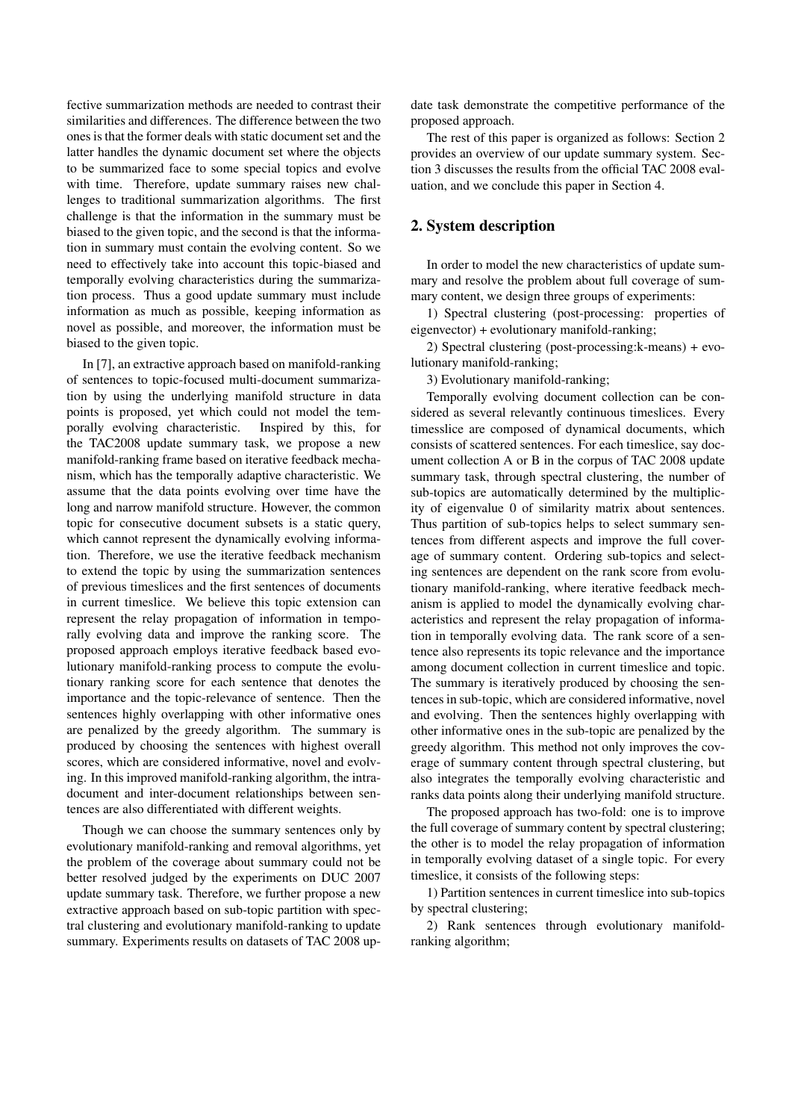fective summarization methods are needed to contrast their similarities and differences. The difference between the two ones is that the former deals with static document set and the latter handles the dynamic document set where the objects to be summarized face to some special topics and evolve with time. Therefore, update summary raises new challenges to traditional summarization algorithms. The first challenge is that the information in the summary must be biased to the given topic, and the second is that the information in summary must contain the evolving content. So we need to effectively take into account this topic-biased and temporally evolving characteristics during the summarization process. Thus a good update summary must include information as much as possible, keeping information as novel as possible, and moreover, the information must be biased to the given topic.

In [7], an extractive approach based on manifold-ranking of sentences to topic-focused multi-document summarization by using the underlying manifold structure in data points is proposed, yet which could not model the temporally evolving characteristic. Inspired by this, for the TAC2008 update summary task, we propose a new manifold-ranking frame based on iterative feedback mechanism, which has the temporally adaptive characteristic. We assume that the data points evolving over time have the long and narrow manifold structure. However, the common topic for consecutive document subsets is a static query, which cannot represent the dynamically evolving information. Therefore, we use the iterative feedback mechanism to extend the topic by using the summarization sentences of previous timeslices and the first sentences of documents in current timeslice. We believe this topic extension can represent the relay propagation of information in temporally evolving data and improve the ranking score. The proposed approach employs iterative feedback based evolutionary manifold-ranking process to compute the evolutionary ranking score for each sentence that denotes the importance and the topic-relevance of sentence. Then the sentences highly overlapping with other informative ones are penalized by the greedy algorithm. The summary is produced by choosing the sentences with highest overall scores, which are considered informative, novel and evolving. In this improved manifold-ranking algorithm, the intradocument and inter-document relationships between sentences are also differentiated with different weights.

Though we can choose the summary sentences only by evolutionary manifold-ranking and removal algorithms, yet the problem of the coverage about summary could not be better resolved judged by the experiments on DUC 2007 update summary task. Therefore, we further propose a new extractive approach based on sub-topic partition with spectral clustering and evolutionary manifold-ranking to update summary. Experiments results on datasets of TAC 2008 update task demonstrate the competitive performance of the proposed approach.

The rest of this paper is organized as follows: Section 2 provides an overview of our update summary system. Section 3 discusses the results from the official TAC 2008 evaluation, and we conclude this paper in Section 4.

# 2. System description

In order to model the new characteristics of update summary and resolve the problem about full coverage of summary content, we design three groups of experiments:

1) Spectral clustering (post-processing: properties of eigenvector) + evolutionary manifold-ranking;

2) Spectral clustering (post-processing:k-means) + evolutionary manifold-ranking;

3) Evolutionary manifold-ranking;

Temporally evolving document collection can be considered as several relevantly continuous timeslices. Every timesslice are composed of dynamical documents, which consists of scattered sentences. For each timeslice, say document collection A or B in the corpus of TAC 2008 update summary task, through spectral clustering, the number of sub-topics are automatically determined by the multiplicity of eigenvalue 0 of similarity matrix about sentences. Thus partition of sub-topics helps to select summary sentences from different aspects and improve the full coverage of summary content. Ordering sub-topics and selecting sentences are dependent on the rank score from evolutionary manifold-ranking, where iterative feedback mechanism is applied to model the dynamically evolving characteristics and represent the relay propagation of information in temporally evolving data. The rank score of a sentence also represents its topic relevance and the importance among document collection in current timeslice and topic. The summary is iteratively produced by choosing the sentences in sub-topic, which are considered informative, novel and evolving. Then the sentences highly overlapping with other informative ones in the sub-topic are penalized by the greedy algorithm. This method not only improves the coverage of summary content through spectral clustering, but also integrates the temporally evolving characteristic and ranks data points along their underlying manifold structure.

The proposed approach has two-fold: one is to improve the full coverage of summary content by spectral clustering; the other is to model the relay propagation of information in temporally evolving dataset of a single topic. For every timeslice, it consists of the following steps:

1) Partition sentences in current timeslice into sub-topics by spectral clustering;

2) Rank sentences through evolutionary manifoldranking algorithm;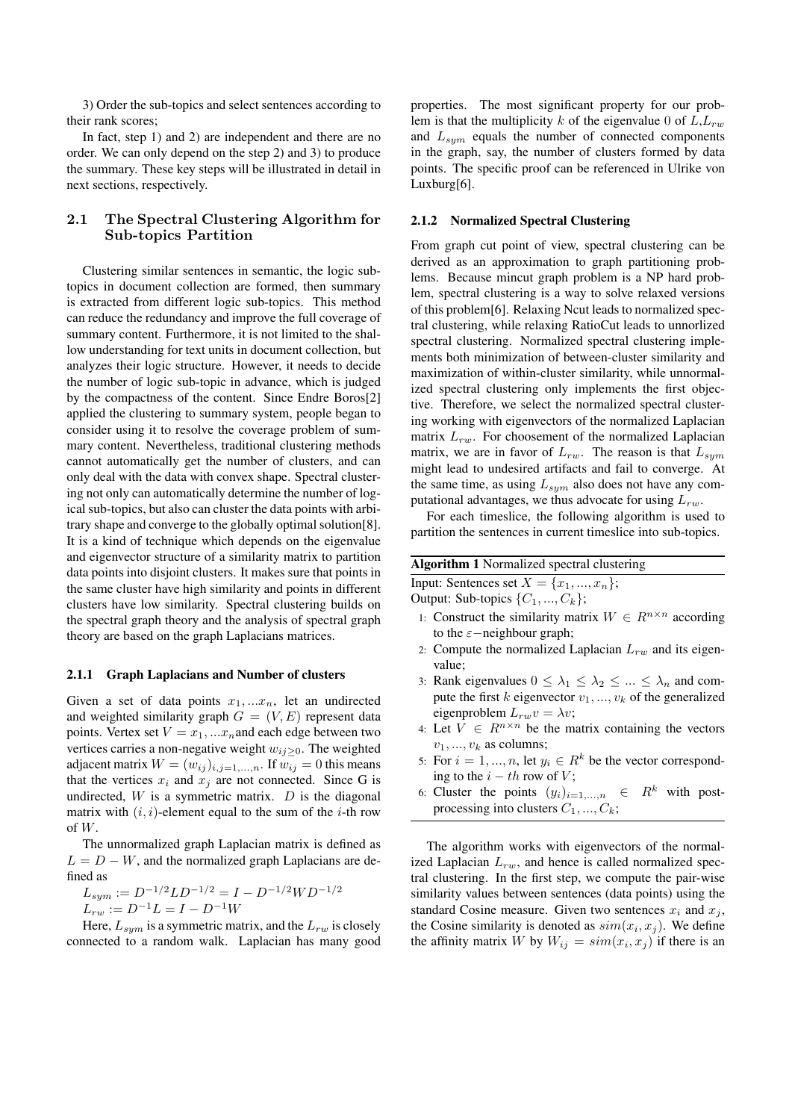3) Order the sub-topics and select sentences according to their rank scores;

In fact, step 1) and 2) are independent and there are no order. We can only depend on the step 2) and 3) to produce the summary. These key steps will be illustrated in detail in next sections, respectively.

# 2.1 The Spectral Clustering Algorithm for Sub-topics Partition

Clustering similar sentences in semantic, the logic subtopics in document collection are formed, then summary is extracted from different logic sub-topics. This method can reduce the redundancy and improve the full coverage of summary content. Furthermore, it is not limited to the shallow understanding for text units in document collection, but analyzes their logic structure. However, it needs to decide the number of logic sub-topic in advance, which is judged by the compactness of the content. Since Endre Boros[2] applied the clustering to summary system, people began to consider using it to resolve the coverage problem of summary content. Nevertheless, traditional clustering methods cannot automatically get the number of clusters, and can only deal with the data with convex shape. Spectral clustering not only can automatically determine the number of logical sub-topics, but also can cluster the data points with arbitrary shape and converge to the globally optimal solution[8]. It is a kind of technique which depends on the eigenvalue and eigenvector structure of a similarity matrix to partition data points into disjoint clusters. It makes sure that points in the same cluster have high similarity and points in different clusters have low similarity. Spectral clustering builds on the spectral graph theory and the analysis of spectral graph theory are based on the graph Laplacians matrices.

#### 2.1.1 Graph Laplacians and Number of clusters

Given a set of data points  $x_1, \ldots, x_n$ , let an undirected and weighted similarity graph  $G = (V, E)$  represent data points. Vertex set  $V = x_1, ... x_n$  and each edge between two vertices carries a non-negative weight  $w_{ij}>0$ . The weighted adjacent matrix  $W = (w_{ij})_{i,j=1,\dots,n}$ . If  $w_{ij} = 0$  this means that the vertices  $x_i$  and  $x_j$  are not connected. Since G is undirected,  $W$  is a symmetric matrix.  $D$  is the diagonal matrix with  $(i, i)$ -element equal to the sum of the *i*-th row of  $W$ .

The unnormalized graph Laplacian matrix is defined as  $L = D - W$ , and the normalized graph Laplacians are defined as

$$
L_{sym} := D^{-1/2}LD^{-1/2} = I - D^{-1/2}WD^{-1/2}
$$
  

$$
L_{rw} := D^{-1}L = I - D^{-1}W
$$

Here,  $L_{sym}$  is a symmetric matrix, and the  $L_{rw}$  is closely connected to a random walk. Laplacian has many good properties. The most significant property for our problem is that the multiplicity k of the eigenvalue 0 of  $L, L_{rw}$ and  $L_{sym}$  equals the number of connected components in the graph, say, the number of clusters formed by data points. The specific proof can be referenced in Ulrike von Luxburg[6].

#### 2.1.2 Normalized Spectral Clustering

From graph cut point of view, spectral clustering can be derived as an approximation to graph partitioning problems. Because mincut graph problem is a NP hard problem, spectral clustering is a way to solve relaxed versions of this problem[6]. Relaxing Ncut leads to normalized spectral clustering, while relaxing RatioCut leads to unnorlized spectral clustering. Normalized spectral clustering implements both minimization of between-cluster similarity and maximization of within-cluster similarity, while unnormalized spectral clustering only implements the first objective. Therefore, we select the normalized spectral clustering working with eigenvectors of the normalized Laplacian matrix  $L_{rw}$ . For choosement of the normalized Laplacian matrix, we are in favor of  $L_{rw}$ . The reason is that  $L_{sym}$ might lead to undesired artifacts and fail to converge. At the same time, as using  $L_{sym}$  also does not have any computational advantages, we thus advocate for using  $L_{rw}$ .

For each timeslice, the following algorithm is used to partition the sentences in current timeslice into sub-topics.

| <b>Algorithm 1</b> Normalized spectral clustering |
|---------------------------------------------------|
| Input: Sentences set $X = \{x_1, , x_n\};$        |
| Output: Sub-topics $\{C_1, , C_k\}$ ;             |

- 1: Construct the similarity matrix  $W \in R^{n \times n}$  according to the  $\varepsilon$ −neighbour graph;
- 2: Compute the normalized Laplacian  $L_{rw}$  and its eigenvalue;
- 3: Rank eigenvalues  $0 \leq \lambda_1 \leq \lambda_2 \leq ... \leq \lambda_n$  and compute the first k eigenvector  $v_1, ..., v_k$  of the generalized eigenproblem  $L_{rw}v = \lambda v$ ;
- 4: Let  $V \in R^{n \times n}$  be the matrix containing the vectors  $v_1, ..., v_k$  as columns;
- 5: For  $i = 1, ..., n$ , let  $y_i \in R^k$  be the vector corresponding to the  $i - th$  row of  $V$ ;
- 6: Cluster the points  $(y_i)_{i=1,\dots,n} \in R^k$  with postprocessing into clusters  $C_1, ..., C_k$ ;

The algorithm works with eigenvectors of the normalized Laplacian  $L_{rw}$ , and hence is called normalized spectral clustering. In the first step, we compute the pair-wise similarity values between sentences (data points) using the standard Cosine measure. Given two sentences  $x_i$  and  $x_j$ , the Cosine similarity is denoted as  $sim(x_i, x_j)$ . We define the affinity matrix W by  $W_{ij} = sim(x_i, x_j)$  if there is an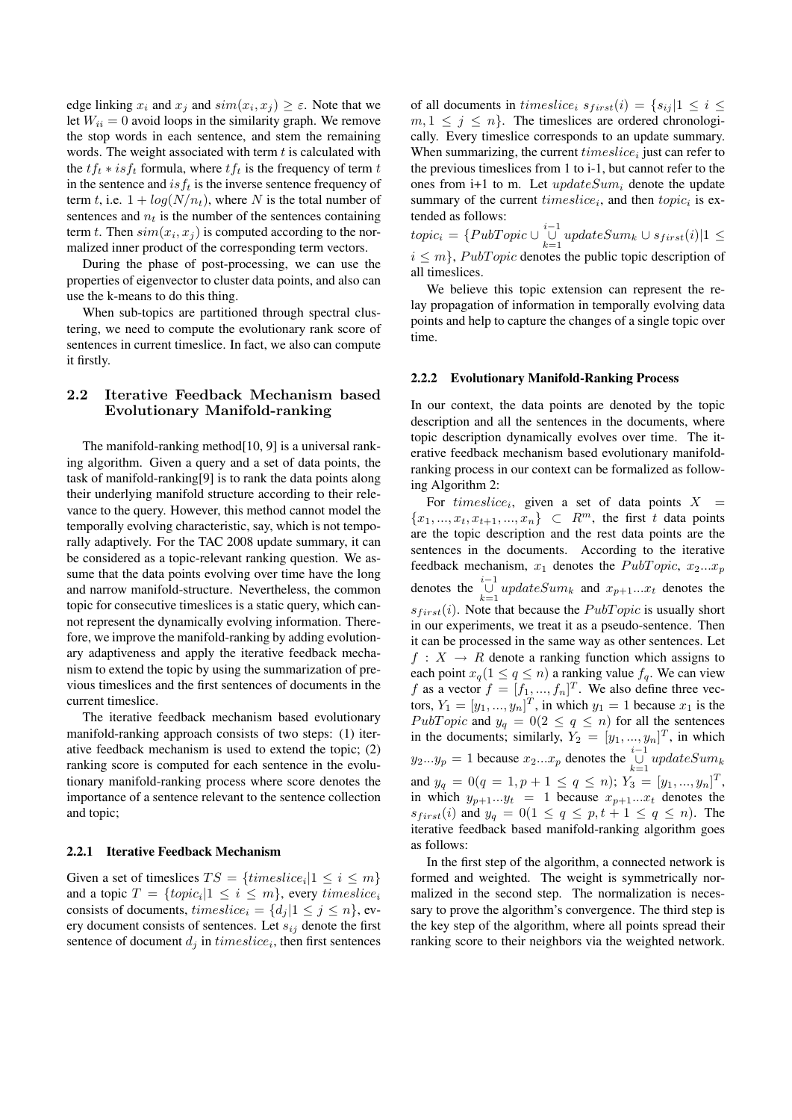edge linking  $x_i$  and  $x_j$  and  $sim(x_i, x_j) \geq \varepsilon$ . Note that we let  $W_{ii} = 0$  avoid loops in the similarity graph. We remove the stop words in each sentence, and stem the remaining words. The weight associated with term  $t$  is calculated with the  $tf_t * isf_t$  formula, where  $tf_t$  is the frequency of term t in the sentence and  $isf_t$  is the inverse sentence frequency of term t, i.e.  $1 + log(N/n_t)$ , where N is the total number of sentences and  $n_t$  is the number of the sentences containing term t. Then  $sim(x_i, x_j)$  is computed according to the normalized inner product of the corresponding term vectors.

During the phase of post-processing, we can use the properties of eigenvector to cluster data points, and also can use the k-means to do this thing.

When sub-topics are partitioned through spectral clustering, we need to compute the evolutionary rank score of sentences in current timeslice. In fact, we also can compute it firstly.

### 2.2 Iterative Feedback Mechanism based Evolutionary Manifold-ranking

The manifold-ranking method<sup>[10]</sup>, 9] is a universal ranking algorithm. Given a query and a set of data points, the task of manifold-ranking[9] is to rank the data points along their underlying manifold structure according to their relevance to the query. However, this method cannot model the temporally evolving characteristic, say, which is not temporally adaptively. For the TAC 2008 update summary, it can be considered as a topic-relevant ranking question. We assume that the data points evolving over time have the long and narrow manifold-structure. Nevertheless, the common topic for consecutive timeslices is a static query, which cannot represent the dynamically evolving information. Therefore, we improve the manifold-ranking by adding evolutionary adaptiveness and apply the iterative feedback mechanism to extend the topic by using the summarization of previous timeslices and the first sentences of documents in the current timeslice.

The iterative feedback mechanism based evolutionary manifold-ranking approach consists of two steps: (1) iterative feedback mechanism is used to extend the topic; (2) ranking score is computed for each sentence in the evolutionary manifold-ranking process where score denotes the importance of a sentence relevant to the sentence collection and topic;

#### 2.2.1 Iterative Feedback Mechanism

Given a set of timeslices  $TS = \{times, |1 \le i \le m\}$ and a topic  $T = \{topic_i | 1 \le i \le m\}$ , every  $time slice_i$ consists of documents,  $timeslice_i = \{d_i | 1 \leq j \leq n\}$ , every document consists of sentences. Let  $s_{ij}$  denote the first sentence of document  $d_j$  in  $time slice_i$ , then first sentences of all documents in *timeslice<sub>i</sub>*  $s_{first}(i) = \{s_{ij} | 1 \le i \le n\}$  $m, 1 \leq j \leq n$ . The timeslices are ordered chronologically. Every timeslice corresponds to an update summary. When summarizing, the current  $time slice_i$  just can refer to the previous timeslices from 1 to i-1, but cannot refer to the ones from i+1 to m. Let  $updateSum_i$  denote the update summary of the current  $timeslice_i$ , and then  $topic_i$  is extended as follows:

 $topic_i = \{PubTopic \cup \bigcup_{k=1}^{i-1} updateSum_k \cup s_{first}(i) | 1 \le$  $i \leq m$ , *PubTopic* denotes the public topic description of all timeslices.

We believe this topic extension can represent the relay propagation of information in temporally evolving data points and help to capture the changes of a single topic over time.

#### 2.2.2 Evolutionary Manifold-Ranking Process

In our context, the data points are denoted by the topic description and all the sentences in the documents, where topic description dynamically evolves over time. The iterative feedback mechanism based evolutionary manifoldranking process in our context can be formalized as following Algorithm 2:

For timeslice<sub>i</sub>, given a set of data points  $X =$  ${x_1, ..., x_t, x_{t+1}, ..., x_n} \subset R^m$ , the first t data points are the topic description and the rest data points are the sentences in the documents. According to the iterative feedback mechanism,  $x_1$  denotes the PubTopic,  $x_2...x_p$ denotes the  $\bigcup_{k=1}^{i-1} updateSum_k$  and  $x_{p+1}...x_t$  denotes the  $s_{first}(i)$ . Note that because the  $PubTopic$  is usually short in our experiments, we treat it as a pseudo-sentence. Then it can be processed in the same way as other sentences. Let  $f: X \rightarrow R$  denote a ranking function which assigns to each point  $x_q(1 \le q \le n)$  a ranking value  $f_q$ . We can view f as a vector  $f = [f_1, ..., f_n]^T$ . We also define three vectors,  $Y_1 = [y_1, ..., y_n]^T$ , in which  $y_1 = 1$  because  $x_1$  is the PubTopic and  $y_q = 0(2 \le q \le n)$  for all the sentences in the documents; similarly,  $Y_2 = [y_1, ..., y_n]^T$ , in which  $y_2...y_p = 1$  because  $x_2...x_p$  denotes the  $\bigcup_{k=1}^{i-1} updateSum_k$ and  $y_q = 0(q = 1, p + 1 \le q \le n); Y_3 = [y_1, ..., y_n]^T$ , in which  $y_{p+1}...y_t = 1$  because  $x_{p+1}...x_t$  denotes the  $s_{first}(i)$  and  $y_q = 0(1 \le q \le p, t+1 \le q \le n)$ . The iterative feedback based manifold-ranking algorithm goes as follows:

In the first step of the algorithm, a connected network is formed and weighted. The weight is symmetrically normalized in the second step. The normalization is necessary to prove the algorithm's convergence. The third step is the key step of the algorithm, where all points spread their ranking score to their neighbors via the weighted network.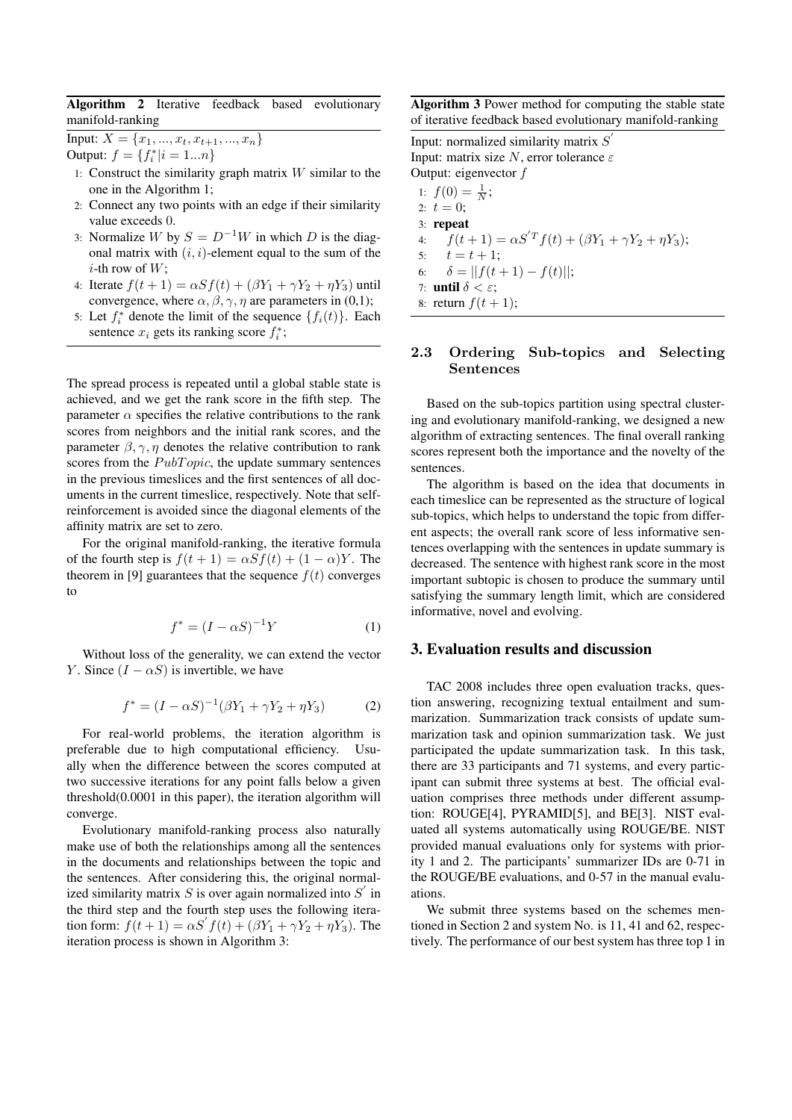Algorithm 2 Iterative feedback based evolutionary manifold-ranking

Input:  $X = \{x_1, ..., x_t, x_{t+1}, ..., x_n\}$ Output:  $f = \{f_i^* | i = 1...n\}$ 

- 1: Construct the similarity graph matrix  $W$  similar to the one in the Algorithm 1;
- 2: Connect any two points with an edge if their similarity value exceeds 0.
- 3: Normalize W by  $S = D^{-1}W$  in which D is the diagonal matrix with  $(i, i)$ -element equal to the sum of the *i*-th row of  $W$ ;
- 4: Iterate  $f(t + 1) = \alpha S f(t) + (\beta Y_1 + \gamma Y_2 + \eta Y_3)$  until convergence, where  $\alpha$ ,  $\beta$ ,  $\gamma$ ,  $\eta$  are parameters in (0,1);
- 5: Let  $f_i^*$  denote the limit of the sequence  $\{f_i(t)\}\$ . Each sentence  $x_i$  gets its ranking score  $f_i^*$ ;

The spread process is repeated until a global stable state is achieved, and we get the rank score in the fifth step. The parameter  $\alpha$  specifies the relative contributions to the rank scores from neighbors and the initial rank scores, and the parameter  $\beta$ ,  $\gamma$ ,  $\eta$  denotes the relative contribution to rank scores from the  $PubTopic$ , the update summary sentences in the previous timeslices and the first sentences of all documents in the current timeslice, respectively. Note that selfreinforcement is avoided since the diagonal elements of the affinity matrix are set to zero.

For the original manifold-ranking, the iterative formula of the fourth step is  $f(t + 1) = \alpha S f(t) + (1 - \alpha) Y$ . The theorem in [9] guarantees that the sequence  $f(t)$  converges to

$$
f^* = (I - \alpha S)^{-1} Y \tag{1}
$$

Without loss of the generality, we can extend the vector Y. Since  $(I - \alpha S)$  is invertible, we have

$$
f^* = (I - \alpha S)^{-1} (\beta Y_1 + \gamma Y_2 + \eta Y_3)
$$
 (2)

For real-world problems, the iteration algorithm is preferable due to high computational efficiency. Usually when the difference between the scores computed at two successive iterations for any point falls below a given threshold(0.0001 in this paper), the iteration algorithm will converge.

Evolutionary manifold-ranking process also naturally make use of both the relationships among all the sentences in the documents and relationships between the topic and the sentences. After considering this, the original normalized similarity matrix  $S$  is over again normalized into  $S'$  in the third step and the fourth step uses the following iteration form:  $f(t + 1) = \alpha S' f(t) + (\beta Y_1 + \gamma Y_2 + \eta Y_3)$ . The iteration process is shown in Algorithm 3:

Algorithm 3 Power method for computing the stable state of iterative feedback based evolutionary manifold-ranking

Input: normalized similarity matrix  $S'$ Input: matrix size N, error tolerance  $\varepsilon$ Output: eigenvector  $f$ 1:  $f(0) = \frac{1}{N}$ ; 2:  $t = 0$ ; 3: repeat 4:  $f(t + 1) = \alpha S^T f(t) + (\beta Y_1 + \gamma Y_2 + \eta Y_3);$ 5:  $t = t + 1$ ; 6:  $\delta = ||f(t+1) - f(t)||;$ 7: until  $\delta < \varepsilon$ ; 8: return  $f(t+1)$ ;

### 2.3 Ordering Sub-topics and Selecting Sentences

Based on the sub-topics partition using spectral clustering and evolutionary manifold-ranking, we designed a new algorithm of extracting sentences. The final overall ranking scores represent both the importance and the novelty of the sentences.

The algorithm is based on the idea that documents in each timeslice can be represented as the structure of logical sub-topics, which helps to understand the topic from different aspects; the overall rank score of less informative sentences overlapping with the sentences in update summary is decreased. The sentence with highest rank score in the most important subtopic is chosen to produce the summary until satisfying the summary length limit, which are considered informative, novel and evolving.

### 3. Evaluation results and discussion

TAC 2008 includes three open evaluation tracks, question answering, recognizing textual entailment and summarization. Summarization track consists of update summarization task and opinion summarization task. We just participated the update summarization task. In this task, there are 33 participants and 71 systems, and every participant can submit three systems at best. The official evaluation comprises three methods under different assumption: ROUGE[4], PYRAMID[5], and BE[3]. NIST evaluated all systems automatically using ROUGE/BE. NIST provided manual evaluations only for systems with priority 1 and 2. The participants' summarizer IDs are 0-71 in the ROUGE/BE evaluations, and 0-57 in the manual evaluations.

We submit three systems based on the schemes mentioned in Section 2 and system No. is 11, 41 and 62, respectively. The performance of our best system has three top 1 in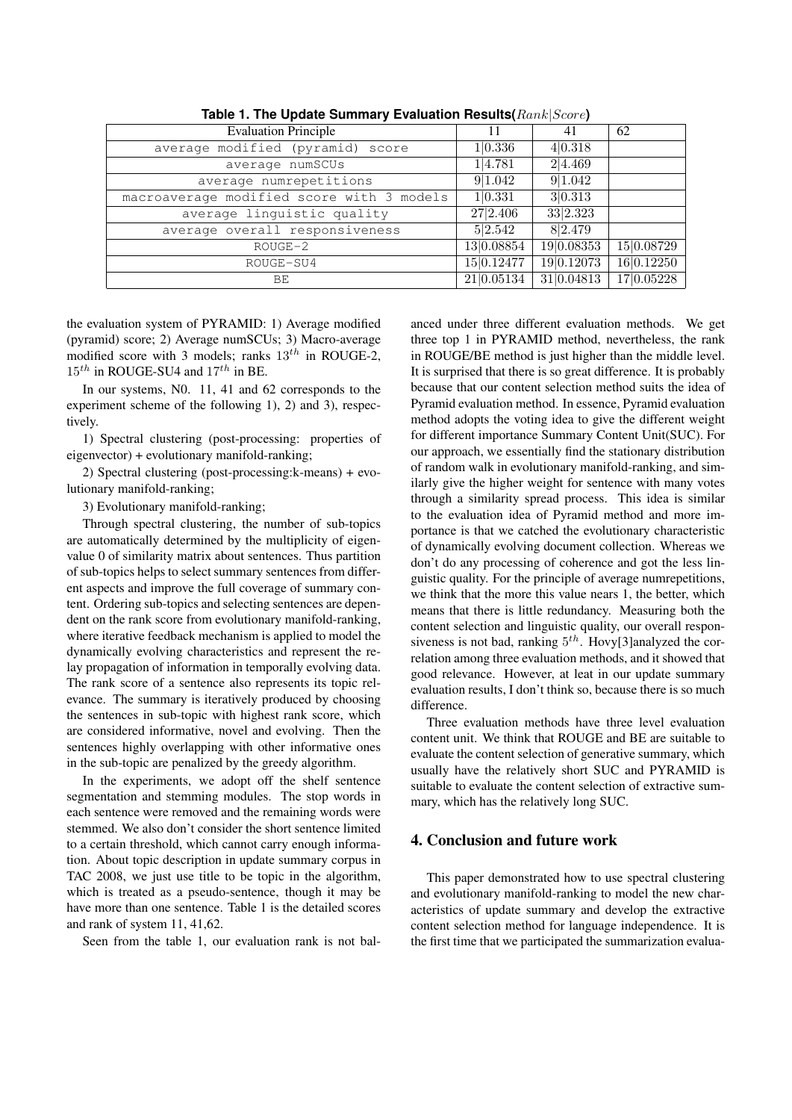| <b>Evaluation Principle</b>               | 11         | 41          | 62          |
|-------------------------------------------|------------|-------------|-------------|
| average modified (pyramid) score          | 1 0.336    | 4 0.318     |             |
| average numSCUs                           | 1 4.781    | 2 4.469     |             |
| average numrepetitions                    | 9 1.042    | 91.042      |             |
| macroaverage modified score with 3 models | 1 0.331    | 3 0.313     |             |
| average linguistic quality                | 27 2.406   | 33 2.323    |             |
| average overall responsiveness            | 5 2.542    | 8 2.479     |             |
| $ROUGE-2$                                 | 13 0.08854 | 19 0.08353  | 15 0.08729  |
| ROUGE-SU4                                 | 15 0.12477 | 19 0.12073  | 16 0.12250  |
| BE                                        | 21 0.05134 | 31 0.048 13 | 17 0.05 228 |
|                                           |            |             |             |

**Table 1. The Update Summary Evaluation Results(**Rank|Score**)**

the evaluation system of PYRAMID: 1) Average modified (pyramid) score; 2) Average numSCUs; 3) Macro-average modified score with 3 models; ranks  $13^{th}$  in ROUGE-2,  $15^{th}$  in ROUGE-SU4 and  $17^{th}$  in BE.

In our systems, N0. 11, 41 and 62 corresponds to the experiment scheme of the following 1), 2) and 3), respectively.

1) Spectral clustering (post-processing: properties of eigenvector) + evolutionary manifold-ranking;

2) Spectral clustering (post-processing:k-means) + evolutionary manifold-ranking;

3) Evolutionary manifold-ranking;

Through spectral clustering, the number of sub-topics are automatically determined by the multiplicity of eigenvalue 0 of similarity matrix about sentences. Thus partition of sub-topics helps to select summary sentences from different aspects and improve the full coverage of summary content. Ordering sub-topics and selecting sentences are dependent on the rank score from evolutionary manifold-ranking, where iterative feedback mechanism is applied to model the dynamically evolving characteristics and represent the relay propagation of information in temporally evolving data. The rank score of a sentence also represents its topic relevance. The summary is iteratively produced by choosing the sentences in sub-topic with highest rank score, which are considered informative, novel and evolving. Then the sentences highly overlapping with other informative ones in the sub-topic are penalized by the greedy algorithm.

In the experiments, we adopt off the shelf sentence segmentation and stemming modules. The stop words in each sentence were removed and the remaining words were stemmed. We also don't consider the short sentence limited to a certain threshold, which cannot carry enough information. About topic description in update summary corpus in TAC 2008, we just use title to be topic in the algorithm, which is treated as a pseudo-sentence, though it may be have more than one sentence. Table 1 is the detailed scores and rank of system 11, 41,62.

Seen from the table 1, our evaluation rank is not bal-

anced under three different evaluation methods. We get three top 1 in PYRAMID method, nevertheless, the rank in ROUGE/BE method is just higher than the middle level. It is surprised that there is so great difference. It is probably because that our content selection method suits the idea of Pyramid evaluation method. In essence, Pyramid evaluation method adopts the voting idea to give the different weight for different importance Summary Content Unit(SUC). For our approach, we essentially find the stationary distribution of random walk in evolutionary manifold-ranking, and similarly give the higher weight for sentence with many votes through a similarity spread process. This idea is similar to the evaluation idea of Pyramid method and more importance is that we catched the evolutionary characteristic of dynamically evolving document collection. Whereas we don't do any processing of coherence and got the less linguistic quality. For the principle of average numrepetitions, we think that the more this value nears 1, the better, which means that there is little redundancy. Measuring both the content selection and linguistic quality, our overall responsiveness is not bad, ranking  $5<sup>th</sup>$ . Hovy[3]analyzed the correlation among three evaluation methods, and it showed that good relevance. However, at leat in our update summary evaluation results, I don't think so, because there is so much difference.

Three evaluation methods have three level evaluation content unit. We think that ROUGE and BE are suitable to evaluate the content selection of generative summary, which usually have the relatively short SUC and PYRAMID is suitable to evaluate the content selection of extractive summary, which has the relatively long SUC.

# 4. Conclusion and future work

This paper demonstrated how to use spectral clustering and evolutionary manifold-ranking to model the new characteristics of update summary and develop the extractive content selection method for language independence. It is the first time that we participated the summarization evalua